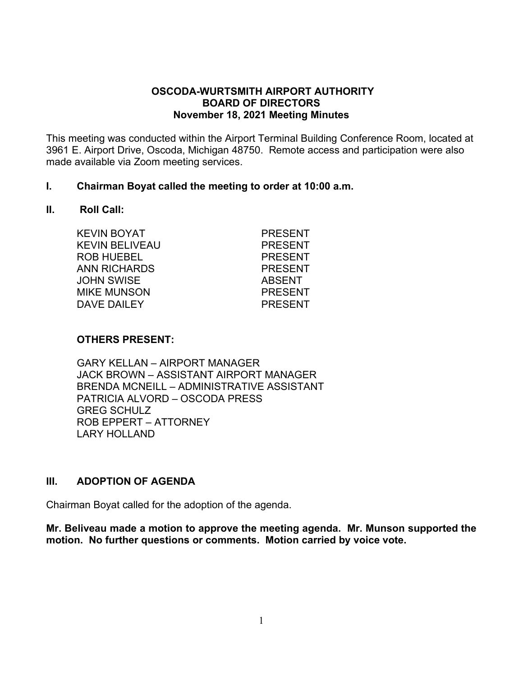#### **OSCODA-WURTSMITH AIRPORT AUTHORITY BOARD OF DIRECTORS November 18, 2021 Meeting Minutes**

This meeting was conducted within the Airport Terminal Building Conference Room, located at 3961 E. Airport Drive, Oscoda, Michigan 48750. Remote access and participation were also made available via Zoom meeting services.

#### **I. Chairman Boyat called the meeting to order at 10:00 a.m.**

#### **II. Roll Call:**

| <b>KEVIN BOYAT</b> | <b>PRESENT</b> |
|--------------------|----------------|
| KEVIN BELIVEAU     | <b>PRESENT</b> |
| <b>ROB HUEBEL</b>  | <b>PRESENT</b> |
| ANN RICHARDS       | <b>PRESENT</b> |
| JOHN SWISE         | <b>ABSENT</b>  |
| <b>MIKE MUNSON</b> | <b>PRESENT</b> |
| DAVE DAILEY        | <b>PRESENT</b> |
|                    |                |

#### **OTHERS PRESENT:**

GARY KELLAN – AIRPORT MANAGER JACK BROWN – ASSISTANT AIRPORT MANAGER BRENDA MCNEILL – ADMINISTRATIVE ASSISTANT PATRICIA ALVORD – OSCODA PRESS GREG SCHULZ ROB EPPERT – ATTORNEY LARY HOLLAND

#### **III. ADOPTION OF AGENDA**

Chairman Boyat called for the adoption of the agenda.

**Mr. Beliveau made a motion to approve the meeting agenda. Mr. Munson supported the motion. No further questions or comments. Motion carried by voice vote.**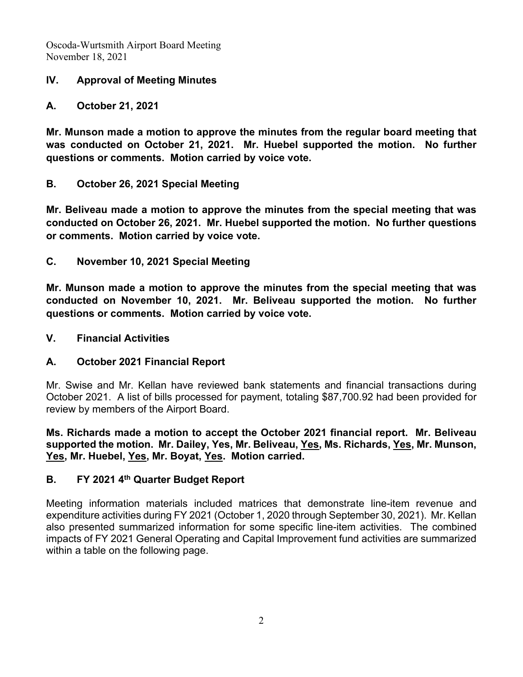Oscoda-Wurtsmith Airport Board Meeting November 18, 2021

## **IV. Approval of Meeting Minutes**

## **A. October 21, 2021**

**Mr. Munson made a motion to approve the minutes from the regular board meeting that was conducted on October 21, 2021. Mr. Huebel supported the motion. No further questions or comments. Motion carried by voice vote.**

## **B. October 26, 2021 Special Meeting**

**Mr. Beliveau made a motion to approve the minutes from the special meeting that was conducted on October 26, 2021. Mr. Huebel supported the motion. No further questions or comments. Motion carried by voice vote.**

**C. November 10, 2021 Special Meeting**

**Mr. Munson made a motion to approve the minutes from the special meeting that was conducted on November 10, 2021. Mr. Beliveau supported the motion. No further questions or comments. Motion carried by voice vote.**

### **V. Financial Activities**

### **A. October 2021 Financial Report**

Mr. Swise and Mr. Kellan have reviewed bank statements and financial transactions during October 2021. A list of bills processed for payment, totaling \$87,700.92 had been provided for review by members of the Airport Board.

**Ms. Richards made a motion to accept the October 2021 financial report. Mr. Beliveau supported the motion. Mr. Dailey, Yes, Mr. Beliveau, Yes, Ms. Richards, Yes, Mr. Munson, Yes, Mr. Huebel, Yes, Mr. Boyat, Yes. Motion carried.**

## **B. FY 2021 4th Quarter Budget Report**

Meeting information materials included matrices that demonstrate line-item revenue and expenditure activities during FY 2021 (October 1, 2020 through September 30, 2021). Mr. Kellan also presented summarized information for some specific line-item activities. The combined impacts of FY 2021 General Operating and Capital Improvement fund activities are summarized within a table on the following page.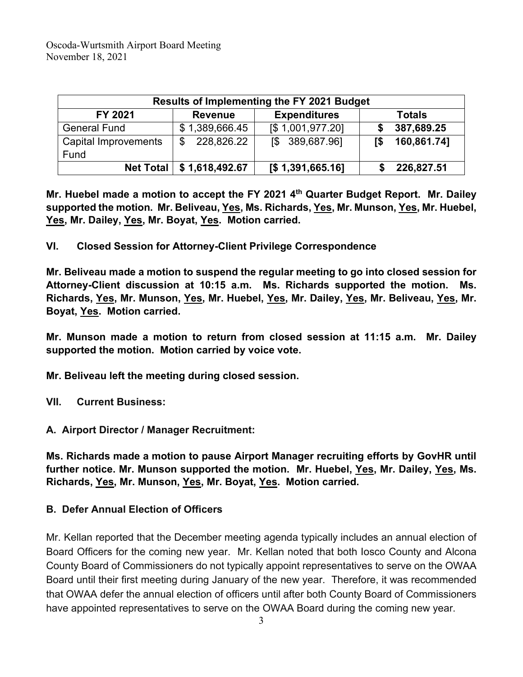| Results of Implementing the FY 2021 Budget |                            |                     |  |               |
|--------------------------------------------|----------------------------|---------------------|--|---------------|
| FY 2021                                    | <b>Revenue</b>             | <b>Expenditures</b> |  | <b>Totals</b> |
| <b>General Fund</b>                        | \$1,389,666.45             | [\$1,001,977.20]    |  | 387,689.25    |
| Capital Improvements                       | 228,826.22<br>\$           | 389,687.96]<br>T\$  |  | 160,861.74]   |
| Fund                                       |                            |                     |  |               |
|                                            | Net Total   \$1,618,492.67 | [\$1,391,665.16]    |  | 226,827.51    |

**Mr. Huebel made a motion to accept the FY 2021 4th Quarter Budget Report. Mr. Dailey supported the motion. Mr. Beliveau, Yes, Ms. Richards, Yes, Mr. Munson, Yes, Mr. Huebel, Yes, Mr. Dailey, Yes, Mr. Boyat, Yes. Motion carried.**

**VI. Closed Session for Attorney-Client Privilege Correspondence** 

**Mr. Beliveau made a motion to suspend the regular meeting to go into closed session for Attorney-Client discussion at 10:15 a.m. Ms. Richards supported the motion. Ms. Richards, Yes, Mr. Munson, Yes, Mr. Huebel, Yes, Mr. Dailey, Yes, Mr. Beliveau, Yes, Mr. Boyat, Yes. Motion carried.**

**Mr. Munson made a motion to return from closed session at 11:15 a.m. Mr. Dailey supported the motion. Motion carried by voice vote.** 

**Mr. Beliveau left the meeting during closed session.**

- **VII. Current Business:**
- **A. Airport Director / Manager Recruitment:**

**Ms. Richards made a motion to pause Airport Manager recruiting efforts by GovHR until further notice. Mr. Munson supported the motion. Mr. Huebel, Yes, Mr. Dailey, Yes, Ms. Richards, Yes, Mr. Munson, Yes, Mr. Boyat, Yes. Motion carried.**

### **B. Defer Annual Election of Officers**

Mr. Kellan reported that the December meeting agenda typically includes an annual election of Board Officers for the coming new year. Mr. Kellan noted that both Iosco County and Alcona County Board of Commissioners do not typically appoint representatives to serve on the OWAA Board until their first meeting during January of the new year. Therefore, it was recommended that OWAA defer the annual election of officers until after both County Board of Commissioners have appointed representatives to serve on the OWAA Board during the coming new year.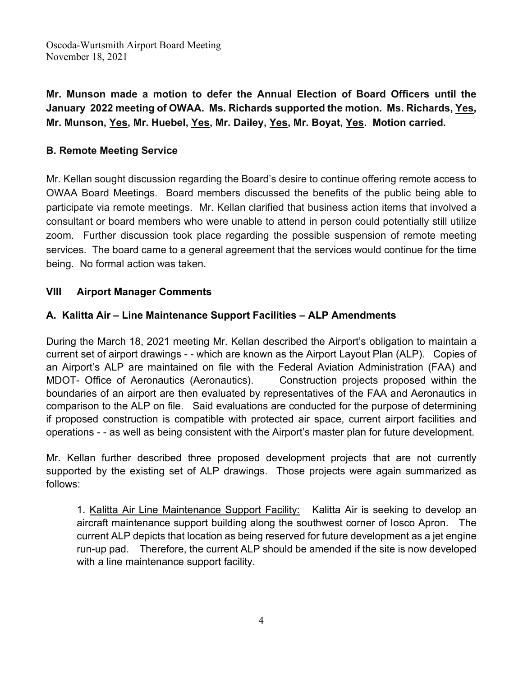Oscoda-Wurtsmith Airport Board Meeting November 18, 2021

**Mr. Munson made a motion to defer the Annual Election of Board Officers until the January 2022 meeting of OWAA. Ms. Richards supported the motion. Ms. Richards, Yes, Mr. Munson, Yes, Mr. Huebel, Yes, Mr. Dailey, Yes, Mr. Boyat, Yes. Motion carried.**

## **B. Remote Meeting Service**

Mr. Kellan sought discussion regarding the Board's desire to continue offering remote access to OWAA Board Meetings. Board members discussed the benefits of the public being able to participate via remote meetings. Mr. Kellan clarified that business action items that involved a consultant or board members who were unable to attend in person could potentially still utilize zoom. Further discussion took place regarding the possible suspension of remote meeting services. The board came to a general agreement that the services would continue for the time being. No formal action was taken.

## **VIII Airport Manager Comments**

## **A. Kalitta Air – Line Maintenance Support Facilities – ALP Amendments**

During the March 18, 2021 meeting Mr. Kellan described the Airport's obligation to maintain a current set of airport drawings - - which are known as the Airport Layout Plan (ALP). Copies of an Airport's ALP are maintained on file with the Federal Aviation Administration (FAA) and MDOT- Office of Aeronautics (Aeronautics). Construction projects proposed within the boundaries of an airport are then evaluated by representatives of the FAA and Aeronautics in comparison to the ALP on file. Said evaluations are conducted for the purpose of determining if proposed construction is compatible with protected air space, current airport facilities and operations - - as well as being consistent with the Airport's master plan for future development.

Mr. Kellan further described three proposed development projects that are not currently supported by the existing set of ALP drawings. Those projects were again summarized as follows:

1. Kalitta Air Line Maintenance Support Facility: Kalitta Air is seeking to develop an aircraft maintenance support building along the southwest corner of Iosco Apron. The current ALP depicts that location as being reserved for future development as a jet engine run-up pad. Therefore, the current ALP should be amended if the site is now developed with a line maintenance support facility.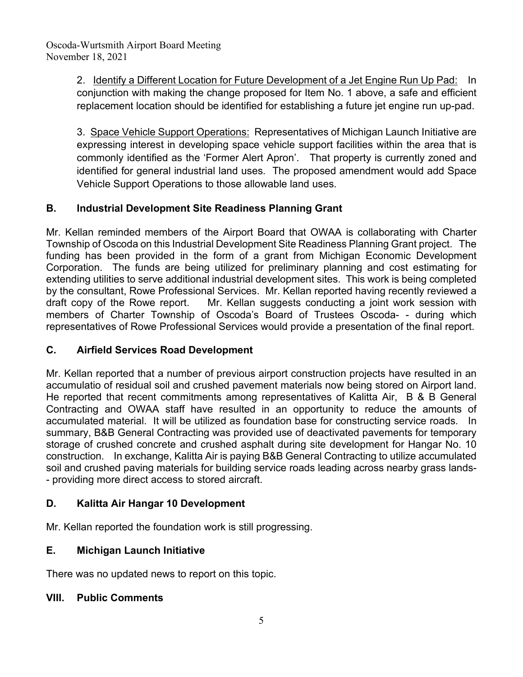2. Identify a Different Location for Future Development of a Jet Engine Run Up Pad: In conjunction with making the change proposed for Item No. 1 above, a safe and efficient replacement location should be identified for establishing a future jet engine run up-pad.

3. Space Vehicle Support Operations: Representatives of Michigan Launch Initiative are expressing interest in developing space vehicle support facilities within the area that is commonly identified as the 'Former Alert Apron'. That property is currently zoned and identified for general industrial land uses. The proposed amendment would add Space Vehicle Support Operations to those allowable land uses.

# **B. Industrial Development Site Readiness Planning Grant**

Mr. Kellan reminded members of the Airport Board that OWAA is collaborating with Charter Township of Oscoda on this Industrial Development Site Readiness Planning Grant project. The funding has been provided in the form of a grant from Michigan Economic Development Corporation. The funds are being utilized for preliminary planning and cost estimating for extending utilities to serve additional industrial development sites. This work is being completed by the consultant, Rowe Professional Services. Mr. Kellan reported having recently reviewed a draft copy of the Rowe report. Mr. Kellan suggests conducting a joint work session with members of Charter Township of Oscoda's Board of Trustees Oscoda- - during which representatives of Rowe Professional Services would provide a presentation of the final report.

# **C. Airfield Services Road Development**

Mr. Kellan reported that a number of previous airport construction projects have resulted in an accumulatio of residual soil and crushed pavement materials now being stored on Airport land. He reported that recent commitments among representatives of Kalitta Air, B & B General Contracting and OWAA staff have resulted in an opportunity to reduce the amounts of accumulated material. It will be utilized as foundation base for constructing service roads. In summary, B&B General Contracting was provided use of deactivated pavements for temporary storage of crushed concrete and crushed asphalt during site development for Hangar No. 10 construction. In exchange, Kalitta Air is paying B&B General Contracting to utilize accumulated soil and crushed paving materials for building service roads leading across nearby grass lands- - providing more direct access to stored aircraft.

# **D. Kalitta Air Hangar 10 Development**

Mr. Kellan reported the foundation work is still progressing.

# **E. Michigan Launch Initiative**

There was no updated news to report on this topic.

# **VIII. Public Comments**